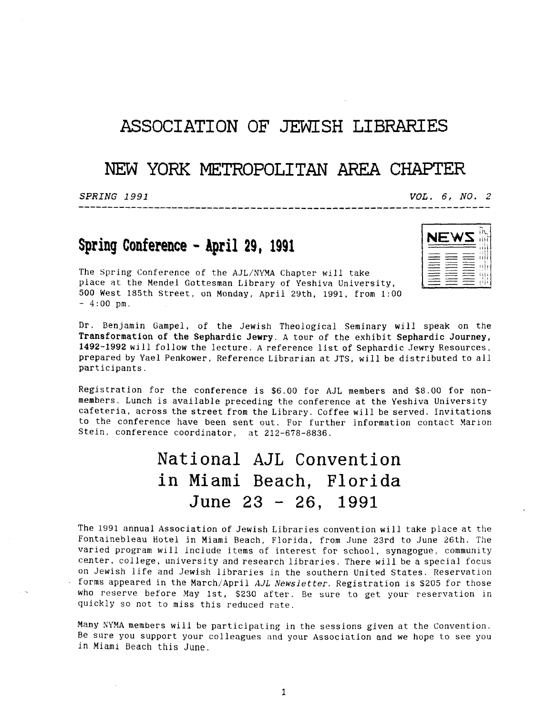## **ASSOCIATION OF** JEWISH LIBRARIES

## **NEW YORK METROPOLITAN** AREA CHAPTER

...................................................................

*SPRING 1991 VOL. 6, NO. 2* 

## <sup>I</sup>**NEWS** ;:j **Spring Conference** - **April 29, 1991** I,//

The Spring Conference of the AJL/NYMA Chapter will take 500 West 185th Street, on Monday, April 29th, 1991, from **1:OO**   $-4:00$  pm. place at the Mendel Gottesman Library of Yeshiva University,

| ۰<br>٠ì<br>÷<br>--<br>$\mathbf{I}$<br>ı                |  |
|--------------------------------------------------------|--|
| ļ<br>ı<br>ţ<br>î.<br>---                               |  |
| ı<br>$\mathbf{1}$<br>š<br>с                            |  |
| -11<br>٠<br>--<br>---<br>í,<br>------<br>$-$<br>----   |  |
| ł<br>ļ<br>۱<br>_____<br>____<br>л<br>я<br>ī<br>t.<br>٠ |  |
| ------<br>____                                         |  |
| ____<br>__<br>٠<br>ï                                   |  |
| į<br>I<br>×.<br>---<br>k                               |  |
| í                                                      |  |
|                                                        |  |

**Dr.** Benjamin Gampel, of the Jewish Theological Seminary will speak on the **Transformation of the Sephardic Jewry. A** tour of the exhibit **Sephardic** Journey, **1492-1992** will follow the lecture. A reference list of Sephardic Jewry Resources, prepared by Yael Penkower, Reference Librarian at JTS, will be distributed to all participants.

Registration for the conference is *\$6.00* for AJL members and \$8.00 for nonmembers. Lunch is available preceding the conference at the Yeshiva University cafeteria, across the street from the Library. Coffee will be served. Invitations to the conference have been sent out. For further information contact Marion Stein, conference coordinator, at 212-678-8836.

## **National AJL Convention**  in Miami Beach, Florida June **23** - 26, <sup>1991</sup>

The 1991 annual Association of Jewish Libraries convention will take place at the Fontainebleau Hotel in Miami Beach, Florida, from June 23rd to June 26th. The varied program will include items of interest for school, synagogue, community center. college, university and research libraries. There will be a special focus on Jewish life and Jewish libraries in the southern United States. Reservation forms appeared in the March/April *AJL Newsletter*. Registration is \$205 for those who reserve before May lst, **\$230** after. Be sure to get your reservation in quickly *so* not to miss this reduced rate.

Many **SYMA** members will be participating in the sessions given at the Convention. Be sure you support your colleagues and your Association and we hope to see you in Miami Beach this June.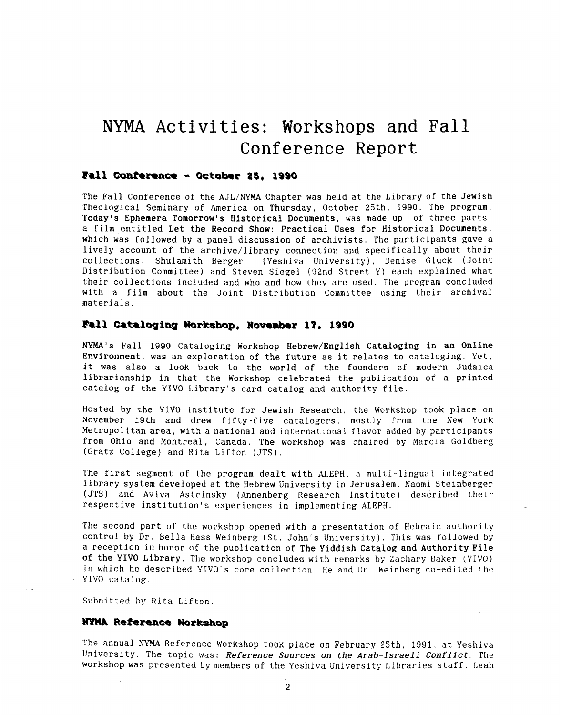# **NYMA Activities:** Workshops and Fall Conference Report

#### Fall Conference - October 25, 1990

The Fall Conference of the AJL/NYMA Chapter was held at the Library of the Jewish Theological Seminary of America on Thursday, October 25th, 1990. The program, Today's Ephemera Tomorrow's Historical Documents, was made up of three parts: a film entitled Let the Record Show: Practical Uses for Historical Documents, which was followed by a panel discussion of archivists. The participants gave a lively account of the archive/library connection and specifically about their<br>collections. Shulamith Berger (Yeshiva University), Denise Gluck (Joint (Yeshiva University). Denise Gluck (Joint Distribution Committee) and Steven Siegel (92nd Street Y) each explained what their collections included and who and how they are used. The program concluded with a film about the Joint Distribution Committee using their archival materials.

#### Fall Cataloging Workshop, November 17, 1990

**NYMA's** Fall 1990 Cataloging Workshop Hebrew/English Cataloging in an Online Environment, was an exploration of the future as it relates to cataloging. Yet, it was also **a** look back to the world of the founders of modern Judaica librarianship in that the Workshop celebrated the publication of a printed catalog of the YIVO Library's card catalog and authority file.

Hosted by the YIVO Institute for Jewish Research, the Workshop took place on November 19th and drew fifty-five catalogers, mostly from the New York Metropolitan area, with a national and international flavor added by participants from Ohio and Montreal, Canada. The workshop was chaired by Marcia Goldberg (Gratz College) and Rita Lifton (JTS).

The first segment of the program dealt with ALEPH, a multi-lingual integrated library system developed at the Hebrew University in Jerusalem. Naomi Steinberger (JTS) and Aviva Astrinsky (Annenberg Research Institute) described their respective institution's experiences in implementing ALEPH.

The second part of the workshop opened with a presentation of Hebraic authority control by Dr. Bella Hass Weinberg (St. John's University). This was followed by a reception in honor of the publication of The Yiddish Catalog and Authority Pile of the YIVO Library. The workshop concluded with remarks by Zachary Baker (YIVO) in which he described **YIVO's** core collection. He and Dr. Weinberg co-edited the YIVO catalog.

Submitted by Rita Lifton.

#### NYMA Reference Workshop

The annual NYMA Reference Workshop took place on February 25th, 1991. at Yeshiva University. The topic was: *Reference Sources* on the Arab-Israeli *Conflict.* The workshop was presented by members of the Yeshiva University Libraries Staff. Leah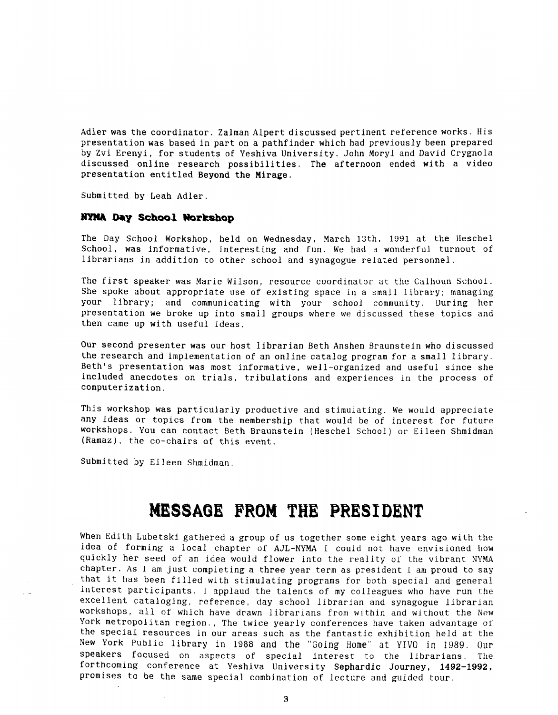Adler was the coordinator. Zalman Alpert discussed pertinent reference works. His presentation was based in part on a pathfinder which had previously been prepared by Zvi Erenyi, for students of Yeshiva University. John Moryl and David Crygnola discussed online research possibilities. The afternoon ended with a video presentation entitled Beyond the Mirage.

Submitted by Leah Adler.

#### **NYMA Day School Workshop**

The Day School Workshop, held on Wednesday, March 13th, 1991 at the Heschel School, was informative, interesting and fun. We had **a** wonderful turnout of librarians in addition to other school and synagogue related personnel.

The first speaker was Marie Wilson, resource coordinator at the Calhoun School. She spoke about appropriate use of existing space in a small library; managing your library; and communicating with your school community. During her presentation we broke up into small groups where we discussed these topics and then came up with useful ideas.

Our second presenter was our host librarian Beth Anshen Braunstein who discussed the research and implementation of an online catalog program for a small library. Beth's presentation was most informative, well-organized and useful since she included anecdotes on trials, tribulations and experiences in the process of computerization.

This workshop was particularly productive and stimulating. We would appreciate any ideas or topics from the membership that would be of interest for future workshops. You can contact Beth Braunstein (Heschel School) or Eileen Shmidman (Ramaz), the co-chairs of this event.

Submitted by Eileen Shmidman.

## **MESSAGE FROM THE PRESIDENT**

When Edith Lubetski gathered a group of us together some eight years ago with the idea of forming a local chapter of AJL-NYMA I could not have envisioned how quickly her seed of an idea would flower into the reality of the vibrant NYMA chapter. **As** I am just completing a three year term as president I am proud to say that it has been filled with stimulating programs for both special and general interest participants. I applaud the talents of my colleagues who have run the excellent cataloging, reference, day school librarian and synagogue librarian workshops, all of which have drawn librarians from within and without the New York metropolitan region., The twice yearly conferences have taken advantage of the special resources in our areas such as the fantastic exhibition held at the New York Public library in 1988 **and** the "Going Home" at YIVO in 1989. Our speakers focused on aspects of special interest to the librarians. The forthcoming conference at Yeshiva University Sephardic Journey, **1492-1992,**  Promises to be the same special combination of lecture and guided tour.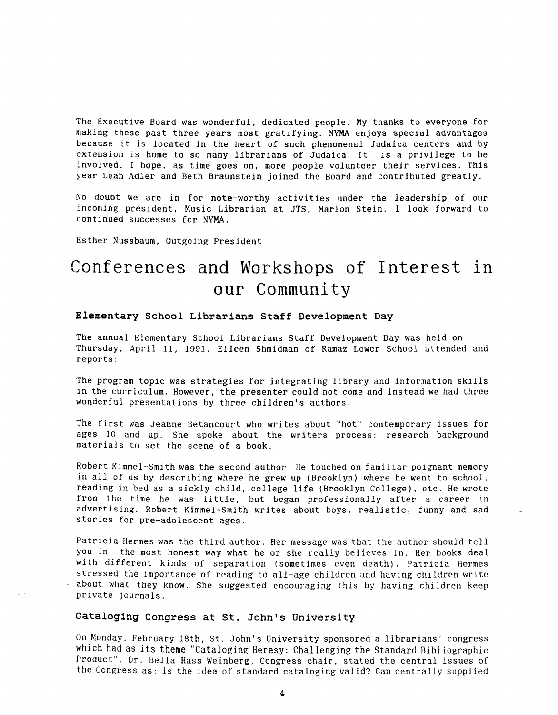The Executive Board was wonderful, dedicated people. My thanks to everyone for making these past three years most gratifying. NYMA enjoys special advantages because it is located in the heart of such phenomenal Judaica centers and by extension is home to *so* many librarians of Judaica. It is a privilege to be involved. I hope, as time goes on, more people volunteer their services. This year Leah Adler and Beth Braunstein joined the Board and contributed greatly.

No doubt we are in for note-worthy activities under the leadership of our incoming president, Music Librarian at JTS, Marion Stein. I look forward to continued successes for NYMA.

Esther Nussbaum, Outgoing President

# Conferences and Workshops of Interest in our **Community**

#### **Elementary School Librarians Staff Development Day**

The annual Elementary School Librarians Staff Development Day was held on Thursday, April 11, 1991. Eileen Shmidman of Ramaz Lower School attended and reports:

The program topic was strategies for integrating library and information skills in the curriculum. However, the presenter could not come and instead we had three wonderful presentations by three children's authors.

The first was Jeanne Betancourt who writes about "hot" contemporary issues for ages 10 and up. She spoke about the writers process: research background materials to set the scene of a book.

Robert Kimmel-Smith was the second author. He touched on familiar poignant memory in all of us by describing where he grew up (Brooklyn) where he went to school, reading in bed as a sickly child, college life (Brooklyn College), etc. He wrote from the time he was little, but began professionally after a career in advertising. Robert Kimmel-Smith writes about boys, realistic, funny and sad stories for pre-adolescent ages.

Patricia Hermes was the third author. Her message was that the author should tell you in the most honest way what he or she really believes in. Her books deal with different kinds of separation (sometimes even death). Patricia Hermes stressed the importance of reading to all-age children and having children write ' about what they know. She suggested encouraging this by having children keep private journals.

#### **Cataloging Congress at St. John's University**

On Monday, February 18th, St. John's University sponsored a librarians' congress which **had** as its theme "Cataloging Heresy: Challenging the Standard Bibliographic Product". Dr. Bella Hass Weinberg, Congress chair, stated the central issues of the Congress as: is the idea of standard cataloging valid? Can centrally supplied